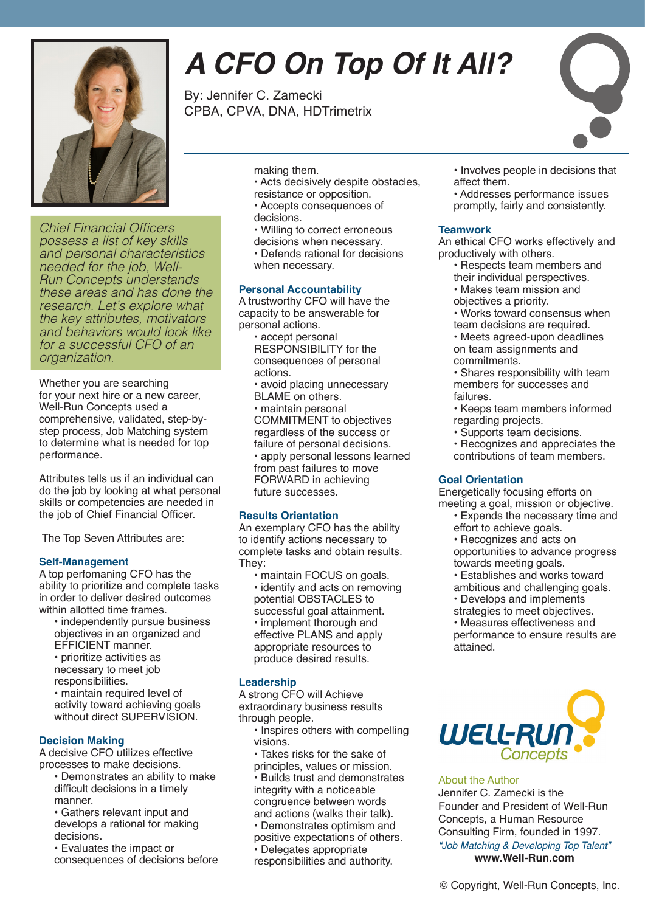

Chief Financial Officers possess a list of key skills and personal characteristics needed for the job, Well-Run Concepts understands these areas and has done the research. Let's explore what the key attributes, motivators and behaviors would look like for a successful CFO of an organization.

Whether you are searching for your next hire or a new career, Well-Run Concepts used a comprehensive, validated, step-bystep process, Job Matching system to determine what is needed for top performance.

Attributes tells us if an individual can do the job by looking at what personal skills or competencies are needed in the job of Chief Financial Officer.

The Top Seven Attributes are:

### **Self-Management**

A top perfomaning CFO has the ability to prioritize and complete tasks in order to deliver desired outcomes within allotted time frames.

- independently pursue business objectives in an organized and EFFICIENT manner.
- prioritize activities as necessary to meet job
- responsibilities.
- maintain required level of activity toward achieving goals without direct SUPERVISION.

### **Decision Making**

A decisive CFO utilizes effective processes to make decisions.

- Demonstrates an ability to make difficult decisions in a timely manner.
- Gathers relevant input and develops a rational for making decisions.

• Evaluates the impact or consequences of decisions before

# *A CFO On Top Of It All?*

By: Jennifer C. Zamecki CPBA, CPVA, DNA, HDTrimetrix

- making them.
- Acts decisively despite obstacles, resistance or opposition.
- Accepts consequences of
- decisions.
- Willing to correct erroneous
- decisions when necessary.
- Defends rational for decisions when necessary.

### **Personal Accountability**

A trustworthy CFO will have the capacity to be answerable for personal actions.

- accept personal RESPONSIBILITY for the consequences of personal actions.
- avoid placing unnecessary BLAME on others. • maintain personal COMMITMENT to objectives regardless of the success or failure of personal decisions. • apply personal lessons learned from past failures to move FORWARD in achieving future successes.

### **Results Orientation**

An exemplary CFO has the ability to identify actions necessary to complete tasks and obtain results. They:

• maintain FOCUS on goals. • identify and acts on removing potential OBSTACLES to successful goal attainment. • implement thorough and effective PLANS and apply appropriate resources to produce desired results.

### **Leadership**

A strong CFO will Achieve extraordinary business results through people.

- Inspires others with compelling visions.
- Takes risks for the sake of principles, values or mission.

• Builds trust and demonstrates integrity with a noticeable congruence between words

- and actions (walks their talk). • Demonstrates optimism and
- positive expectations of others. • Delegates appropriate
- responsibilities and authority.
- Involves people in decisions that affect them.
- Addresses performance issues promptly, fairly and consistently.

### **Teamwork**

An ethical CFO works effectively and productively with others.

- Respects team members and their individual perspectives.
- Makes team mission and
- objectives a priority.
- Works toward consensus when team decisions are required.

• Meets agreed-upon deadlines on team assignments and commitments.

- Shares responsibility with team members for successes and failures.
- Keeps team members informed regarding projects.
- Supports team decisions.
- Recognizes and appreciates the contributions of team members.

### **Goal Orientation**

Energetically focusing efforts on

- meeting a goal, mission or objective. • Expends the necessary time and effort to achieve goals.
	- Recognizes and acts on
	- opportunities to advance progress towards meeting goals.
	- Establishes and works toward
	- ambitious and challenging goals.
	- Develops and implements

strategies to meet objectives. • Measures effectiveness and performance to ensure results are attained.



### About the Author

Jennifer C. Zamecki is the Founder and President of Well-Run Concepts, a Human Resource Consulting Firm, founded in 1997. *"Job Matching & Developing Top Talent"* **www.Well-Run.com**